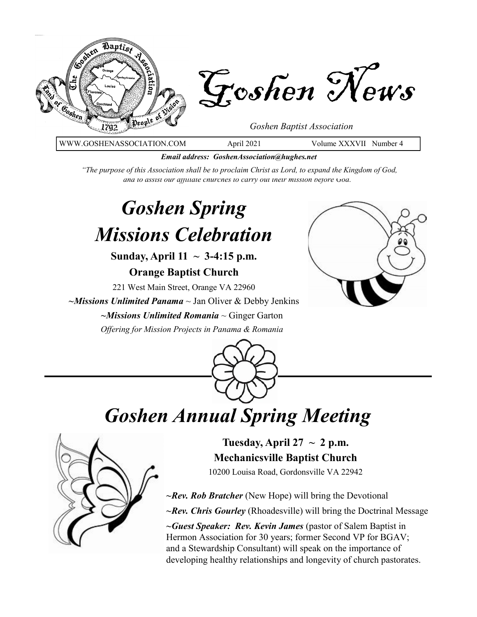

WWW.GOSHENASSOCIATION.COM April 2021 Volume XXXVII Number 4

*Email address: GoshenAssociation@hughes.net*

*"The purpose of this Association shall be to proclaim Christ as Lord, to expand the Kingdom of God, and to assist our affiliate churches to carry out their mission before God."*

# *Goshen Spring Missions Celebration*

**Sunday, April 11 ~ 3-4:15 p.m.**

**Orange Baptist Church**

221 West Main Street, Orange VA 22960

*~Missions Unlimited Panama* ~ Jan Oliver & Debby Jenkins

*~Missions Unlimited Romania* ~ Ginger Garton *Offering for Mission Projects in Panama & Romania*





# *Goshen Annual Spring Meeting*



Tuesday, April  $27 \sim 2$  p.m. **Mechanicsville Baptist Church** 10200 Louisa Road, Gordonsville VA 22942

*~Rev. Rob Bratcher* (New Hope) will bring the Devotional *~Rev. Chris Gourley* (Rhoadesville) will bring the Doctrinal Message

*~Guest Speaker: Rev. Kevin James* (pastor of Salem Baptist in Hermon Association for 30 years; former Second VP for BGAV; and a Stewardship Consultant) will speak on the importance of developing healthy relationships and longevity of church pastorates.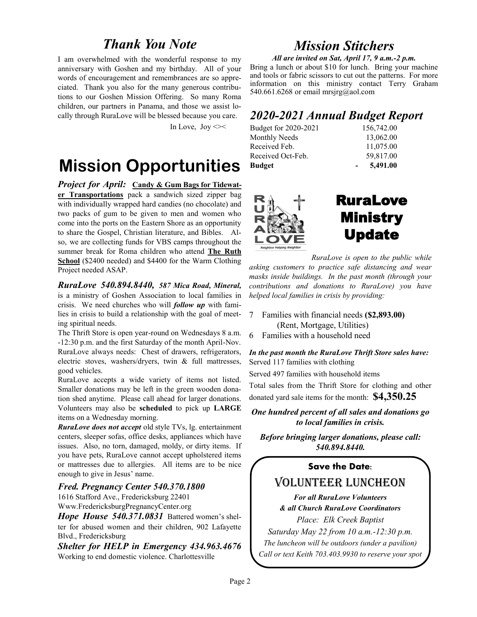## *Thank You Note*

I am overwhelmed with the wonderful response to my anniversary with Goshen and my birthday. All of your words of encouragement and remembrances are so appreciated. Thank you also for the many generous contributions to our Goshen Mission Offering. So many Roma children, our partners in Panama, and those we assist locally through RuraLove will be blessed because you care.

In Love,  $\text{Joy} \ll 1$ 

# **Mission Opportunities**

*Project for April:* **Candy & Gum Bags for Tidewater Transportations** pack a sandwich sized zipper bag with individually wrapped hard candies (no chocolate) and two packs of gum to be given to men and women who come into the ports on the Eastern Shore as an opportunity to share the Gospel, Christian literature, and Bibles. Also, we are collecting funds for VBS camps throughout the summer break for Roma children who attend **The Ruth School** (\$2400 needed) and \$4400 for the Warm Clothing Project needed ASAP.

*RuraLove 540.894.8440, 587 Mica Road, Mineral,* is a ministry of Goshen Association to local families in crisis. We need churches who will *follow up* with families in crisis to build a relationship with the goal of meeting spiritual needs.

The Thrift Store is open year-round on Wednesdays 8 a.m. -12:30 p.m. and the first Saturday of the month April-Nov. RuraLove always needs: Chest of drawers, refrigerators, electric stoves, washers/dryers, twin & full mattresses, good vehicles.

RuraLove accepts a wide variety of items not listed. Smaller donations may be left in the green wooden donation shed anytime. Please call ahead for larger donations. Volunteers may also be **scheduled** to pick up **LARGE** items on a Wednesday morning.

*RuraLove does not accept* old style TVs, lg. entertainment centers, sleeper sofas, office desks, appliances which have issues. Also, no torn, damaged, moldy, or dirty items. If you have pets, RuraLove cannot accept upholstered items or mattresses due to allergies. All items are to be nice enough to give in Jesus' name.

### *Fred. Pregnancy Center 540.370.1800*

1616 Stafford Ave., Fredericksburg 22401 Www.FredericksburgPregnancyCenter.org

*Hope House 540.371.0831* Battered women's shelter for abused women and their children, 902 Lafayette Blvd., Fredericksburg

*Shelter for HELP in Emergency 434.963.4676*  Working to end domestic violence. Charlottesville

## *Mission Stitchers*

*All are invited on Sat, April 17, 9 a.m.-2 p.m.*  Bring a lunch or about \$10 for lunch. Bring your machine and tools or fabric scissors to cut out the patterns. For more information on this ministry contact Terry Graham 540.661.6268 or email mrsjrg@aol.com

## *2020-2021 Annual Budget Report*

| Budget for 2020-2021 | 156,742.00 |
|----------------------|------------|
| Monthly Needs        | 13,062.00  |
| Received Feb.        | 11,075.00  |
| Received Oct-Feb.    | 59,817.00  |
| <b>Budget</b>        | 5,491.00   |



## RuraLove Ministry Update

*RuraLove is open to the public while asking customers to practice safe distancing and wear masks inside buildings. In the past month (through your contributions and donations to RuraLove) you have helped local families in crisis by providing:*

- 7 Families with financial needs **(\$2,893.00)** (Rent, Mortgage, Utilities)
- 6 Families with a household need

*In the past month the RuraLove Thrift Store sales have:* Served 117 families with clothing

Served 497 families with household items

Total sales from the Thrift Store for clothing and other donated yard sale items for the month: **\$4,350.25** 

*One hundred percent of all sales and donations go to local families in crisis.*

*Before bringing larger donations, please call: 540.894.8440.*

### **Save the Date:**

## Volunteer Luncheon

*For all RuraLove Volunteers & all Church RuraLove Coordinators*

*Place: Elk Creek Baptist Saturday May 22 from 10 a.m.-12:30 p.m. The luncheon will be outdoors (under a pavilion) Call or text Keith 703.403.9930 to reserve your spot*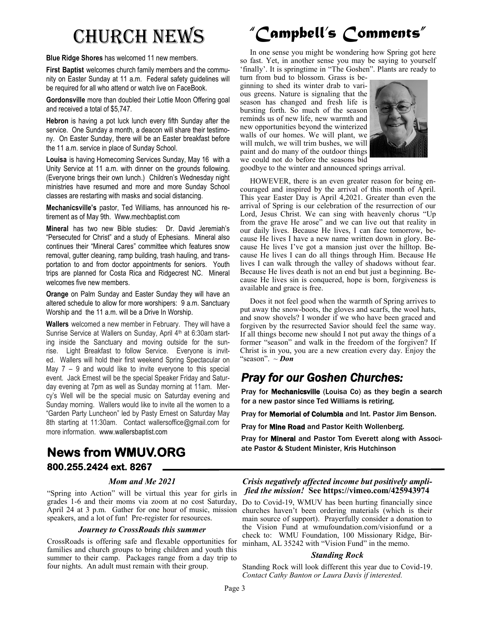**Blue Ridge Shores** has welcomed 11 new members.

**First Baptist** welcomes church family members and the community on Easter Sunday at 11 a.m. Federal safety guidelines will be required for all who attend or watch live on FaceBook.

**Gordonsville** more than doubled their Lottie Moon Offering goal and received a total of \$5,747.

**Hebron** is having a pot luck lunch every fifth Sunday after the service. One Sunday a month, a deacon will share their testimony. On Easter Sunday, there will be an Easter breakfast before the 11 a.m. service in place of Sunday School.

**Louisa** is having Homecoming Services Sunday, May 16 with a Unity Service at 11 a.m. with dinner on the grounds following. (Everyone brings their own lunch.) Children's Wednesday night ministries have resumed and more and more Sunday School classes are restarting with masks and social distancing.

**Mechanicsville's** pastor, Ted Williams, has announced his retirement as of May 9th. Www.mechbaptist.com

**Mineral** has two new Bible studies: Dr. David Jeremiah's "Persecuted for Christ" and a study of Ephesians. Mineral also continues their "Mineral Cares" committee which features snow removal, gutter cleaning, ramp building, trash hauling, and transportation to and from doctor appointments for seniors. Youth trips are planned for Costa Rica and Ridgecrest NC. Mineral welcomes five new members.

**Orange** on Palm Sunday and Easter Sunday they will have an altered schedule to allow for more worshipers: 9 a.m. Sanctuary Worship and the 11 a.m. will be a Drive In Worship.

**Wallers** welcomed a new member in February. They will have a Sunrise Service at Wallers on Sunday, April 4<sup>th</sup> at 6:30am starting inside the Sanctuary and moving outside for the sunrise. Light Breakfast to follow Service. Everyone is invited. Wallers will hold their first weekend Spring Spectacular on May 7 – 9 and would like to invite everyone to this special event. Jack Ernest will be the special Speaker Friday and Saturday evening at 7pm as well as Sunday morning at 11am. Mercy's Well will be the special music on Saturday evening and Sunday morning. Wallers would like to invite all the women to a "Garden Party Luncheon" led by Pasty Ernest on Saturday May 8th starting at 11:30am. Contact wallersoffice@gmail.com for more information. www.wallersbaptist.com

# Church News *"Campbell's Comments"*

 In one sense you might be wondering how Spring got here so fast. Yet, in another sense you may be saying to yourself 'finally'. It is springtime in "The Goshen". Plants are ready to

turn from bud to blossom. Grass is beginning to shed its winter drab to various greens. Nature is signaling that the season has changed and fresh life is bursting forth. So much of the season reminds us of new life, new warmth and new opportunities beyond the winterized walls of our homes. We will plant, we will mulch, we will trim bushes, we will paint and do many of the outdoor things we could not do before the seasons bid



goodbye to the winter and announced springs arrival.

 HOWEVER, there is an even greater reason for being encouraged and inspired by the arrival of this month of April. This year Easter Day is April 4,2021. Greater than even the arrival of Spring is our celebration of the resurrection of our Lord, Jesus Christ. We can sing with heavenly chorus "Up from the grave He arose" and we can live out that reality in our daily lives. Because He lives, I can face tomorrow, because He lives I have a new name written down in glory. Because He lives I've got a mansion just over the hilltop. Because He lives I can do all things through Him. Because He lives I can walk through the valley of shadows without fear. Because He lives death is not an end but just a beginning. Because He lives sin is conquered, hope is born, forgiveness is available and grace is free.

 Does it not feel good when the warmth of Spring arrives to put away the snow-boots, the gloves and scarfs, the wool hats, and snow shovels? I wonder if we who have been graced and forgiven by the resurrected Savior should feel the same way. If all things become new should I not put away the things of a former "season" and walk in the freedom of the forgiven? If Christ is in you, you are a new creation every day. Enjoy the "season". ~ *Don* 

## *Pray for our Goshen Churches:*

Pray for Mechanicsville (Louisa Co) as they begin a search for a new pastor since Ted Williams is retiring.

Pray for Memorial of Columbia and Int. Pastor Jim Benson.

Pray for Mine Road and Pastor Keith Wollenberg.

Pray for Mineral and Pastor Tom Everett along with Associate Pastor & Student Minister, Kris Hutchinson

## **News from WMUV.ORG 800.255.2424 ext. 8267**

### *Mom and Me 2021*

"Spring into Action" will be virtual this year for girls in grades 1-6 and their moms via zoom at no cost Saturday, April 24 at 3 p.m. Gather for one hour of music, mission speakers, and a lot of fun! Pre-register for resources.

### *Journey to CrossRoads this summer*

CrossRoads is offering safe and flexable opportunities for families and church groups to bring children and youth this summer to their camp. Packages range from a day trip to four nights. An adult must remain with their group.

*Crisis negatively affected income but positively amplified the mission!* **See https://vimeo.com/425943974**

Do to Covid-19, WMUV has been hurting financially since churches haven't been ordering materials (which is their main source of support). Prayerfully consider a donation to the Vision Fund at wmufoundation.com/visionfund or a check to: WMU Foundation, 100 Missionary Ridge, Birminham, AL 35242 with "Vision Fund" in the memo.

### *Standing Rock*

Standing Rock will look different this year due to Covid-19. *Contact Cathy Banton or Laura Davis if interested.*